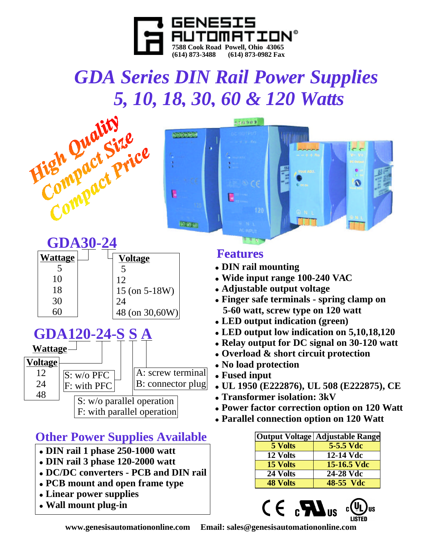

# *GDA Series DIN Rail Power Supplies*





| <b>GDA30-24</b> |  |                    |
|-----------------|--|--------------------|
| <b>Wattage</b>  |  | <b>Voltage</b>     |
|                 |  | 5                  |
| 10              |  | 12                 |
| 18              |  | $15$ (on $5-18W$ ) |
| 30              |  | 24                 |
|                 |  | 48 (on 30,60W)     |



24 48

#### F: with PFC B: connector plug

S: w/o parallel operation F: with parallel operation

# **Other Power Supplies Available**

- ! **DIN rail 1 phase 250-1000 watt**
- ! **DIN rail 3 phase 120-2000 watt**
- ! **DC/DC converters - PCB and DIN rail**
- ! **PCB mount and open frame type**
- ! **Linear power supplies**
- ! **Wall mount plug-in**

### **Features**

- ! **DIN rail mounting**
- ! **Wide input range 100-240 VAC**
- ! **Adjustable output voltage**
- ! **Finger safe terminals - spring clamp on 5-60 watt, screw type on 120 watt**
- ! **LED output indication (green)**
- ! **LED output low indication on 5,10,18,120**
- ! **Relay output for DC signal on 30-120 watt**
- ! **Overload & short circuit protection**
- ! **No load protection**
- ! **Fused input**
- ! **UL 1950 (E222876), UL 508 (E222875), CE**
- ! **Transformer isolation: 3kV**
- ! **Power factor correction option on 120 Watt**
- ! **Parallel connection option on 120 Watt**

|                 | Output Voltage   Adjustable Range |
|-----------------|-----------------------------------|
| 5 Volts         | 5-5.5 Vdc                         |
| 12 Volts        | 12-14 Vdc                         |
| 15 Volts        | 15-16.5 Vdc                       |
| 24 Volts        | 24-28 Vdc                         |
| <b>48 Volts</b> | 48-55 Vdc                         |



**www.genesisautomationonline.com Email: sales@genesisautomationonline.com**